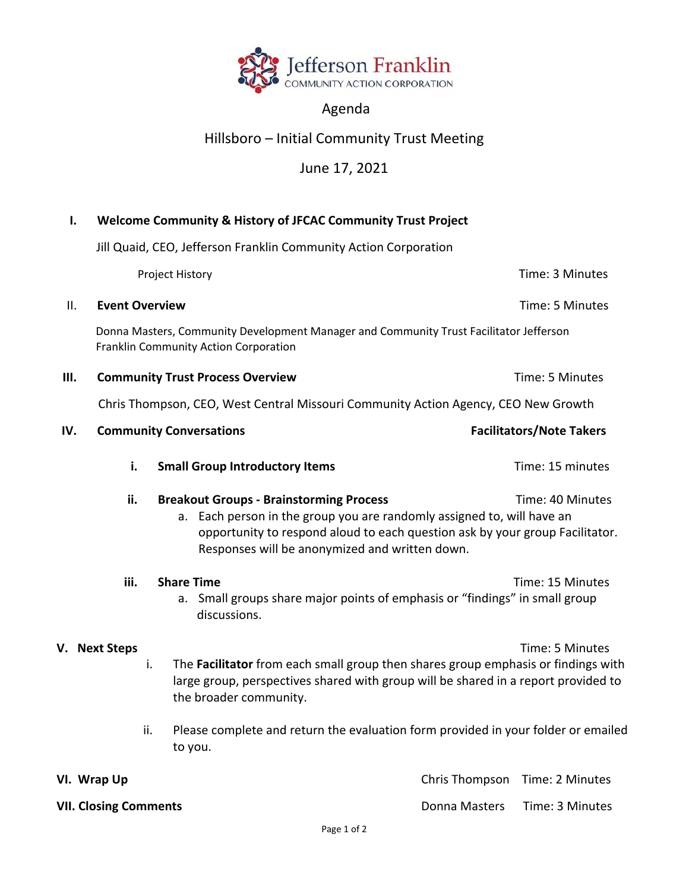

## Agenda

## Hillsboro – Initial Community Trust Meeting

## June 17, 2021

| $\mathbf{I}$ .                                                                                                                                                                                                                                                    | Welcome Community & History of JFCAC Community Trust Project<br>Jill Quaid, CEO, Jefferson Franklin Community Action Corporation |                                                                                                                                                                                                                                                                                                                |                                 |
|-------------------------------------------------------------------------------------------------------------------------------------------------------------------------------------------------------------------------------------------------------------------|----------------------------------------------------------------------------------------------------------------------------------|----------------------------------------------------------------------------------------------------------------------------------------------------------------------------------------------------------------------------------------------------------------------------------------------------------------|---------------------------------|
|                                                                                                                                                                                                                                                                   |                                                                                                                                  |                                                                                                                                                                                                                                                                                                                |                                 |
|                                                                                                                                                                                                                                                                   |                                                                                                                                  | Project History                                                                                                                                                                                                                                                                                                | Time: 3 Minutes                 |
| ΙΙ.                                                                                                                                                                                                                                                               | <b>Event Overview</b>                                                                                                            |                                                                                                                                                                                                                                                                                                                | Time: 5 Minutes                 |
|                                                                                                                                                                                                                                                                   | Donna Masters, Community Development Manager and Community Trust Facilitator Jefferson<br>Franklin Community Action Corporation  |                                                                                                                                                                                                                                                                                                                |                                 |
| Ш.                                                                                                                                                                                                                                                                |                                                                                                                                  | <b>Community Trust Process Overview</b>                                                                                                                                                                                                                                                                        | Time: 5 Minutes                 |
|                                                                                                                                                                                                                                                                   | Chris Thompson, CEO, West Central Missouri Community Action Agency, CEO New Growth                                               |                                                                                                                                                                                                                                                                                                                |                                 |
| IV.                                                                                                                                                                                                                                                               |                                                                                                                                  | <b>Community Conversations</b>                                                                                                                                                                                                                                                                                 | <b>Facilitators/Note Takers</b> |
|                                                                                                                                                                                                                                                                   | i.                                                                                                                               | <b>Small Group Introductory Items</b>                                                                                                                                                                                                                                                                          | Time: 15 minutes                |
| ii.<br><b>Breakout Groups - Brainstorming Process</b><br>a. Each person in the group you are randomly assigned to, will have an<br>opportunity to respond aloud to each question ask by your group Facilitator.<br>Responses will be anonymized and written down. |                                                                                                                                  |                                                                                                                                                                                                                                                                                                                | Time: 40 Minutes                |
|                                                                                                                                                                                                                                                                   | iii.                                                                                                                             | <b>Share Time</b><br>a. Small groups share major points of emphasis or "findings" in small group<br>discussions.                                                                                                                                                                                               | Time: 15 Minutes                |
|                                                                                                                                                                                                                                                                   | V. Next Steps                                                                                                                    | The Facilitator from each small group then shares group emphasis or findings with<br>i.<br>large group, perspectives shared with group will be shared in a report provided to<br>the broader community.<br>Please complete and return the evaluation form provided in your folder or emailed<br>ii.<br>to you. | Time: 5 Minutes                 |
|                                                                                                                                                                                                                                                                   | VI. Wrap Up                                                                                                                      |                                                                                                                                                                                                                                                                                                                | Chris Thompson Time: 2 Minutes  |

**VII. Closing Comments**  Donna Masters Time: 3 Minutes